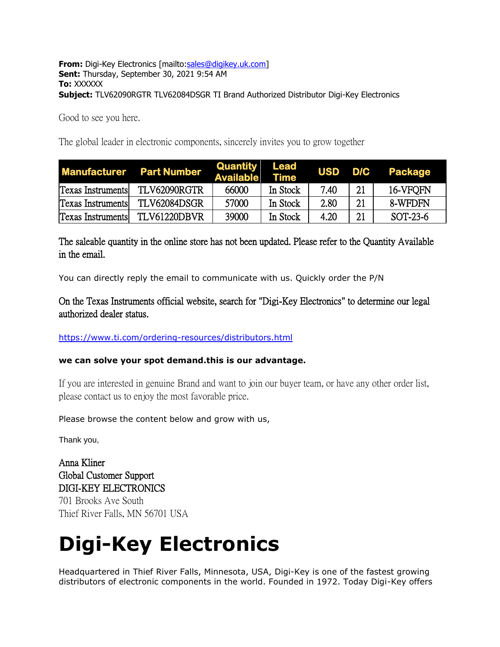### **From:** Digi-Key Electronics [mailto[:sales@digikey.uk.com\]](mailto:sales@digikey.uk.com) **Sent:** Thursday, September 30, 2021 9:54 AM **To:** XXXXXX **Subject:** TLV62090RGTR TLV62084DSGR TI Brand Authorized Distributor Digi-Key Electronics

Good to see you here.

The global leader in electronic components, sincerely invites you to grow together

|                          | <b>Manufacturer</b> Part Number | Quantity<br><b>Available</b> | Lead<br><b>Time</b> | <b>USD</b> | D/C | Package  |
|--------------------------|---------------------------------|------------------------------|---------------------|------------|-----|----------|
| <b>Texas Instruments</b> | TLV62090RGTR                    | 66000                        | In Stock            | 7.40       | 21  | 16-VFOFN |
| <b>Texas Instruments</b> | TLV62084DSGR                    | 57000                        | In Stock            | 2.80       | 21  | 8-WFDFN  |
| <b>Texas Instruments</b> | TLV61220DBVR                    | 39000                        | In Stock            | 4.20       | 21  | SOT-23-6 |

The saleable quantity in the online store has not been updated. Please refer to the Quantity Available in the email.

You can directly reply the email to communicate with us. Quickly order the P/N

On the Texas Instruments official website, search for "Digi-Key Electronics" to determine our legal authorized dealer status.

<https://www.ti.com/ordering-resources/distributors.html>

## **we can solve your spot demand.this is our advantage.**

If you are interested in genuine Brand and want to join our buyer team, or have any other order list, please contact us to enjoy the most favorable price.

Please browse the content below and grow with us,

Thank you,

Anna Kliner Global Customer Support DIGI-KEY ELECTRONICS 701 Brooks Ave South Thief River Falls, MN 56701 USA

# **Digi-Key Electronics**

Headquartered in Thief River Falls, Minnesota, USA, Digi-Key is one of the fastest growing distributors of electronic components in the world. Founded in 1972. Today Digi-Key offers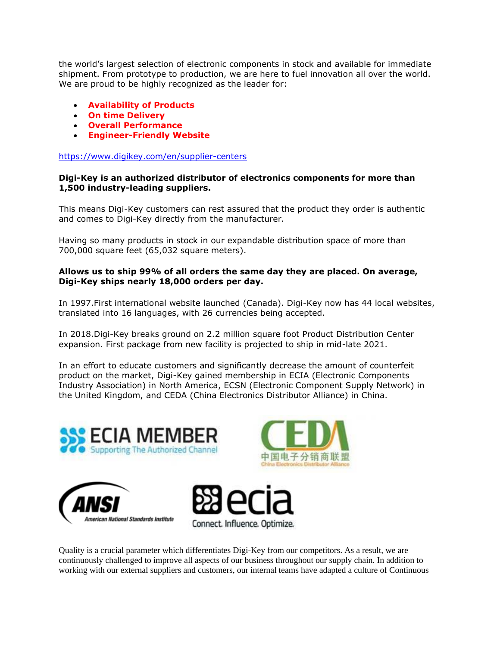the world's largest selection of electronic components in stock and available for immediate shipment. From prototype to production, we are here to fuel innovation all over the world. We are proud to be highly recognized as the leader for:

- **Availability of Products**
- **On time Delivery**
- **Overall Performance**
- **Engineer-Friendly Website**

<https://www.digikey.com/en/supplier-centers>

### **Digi-Key is an authorized distributor of electronics components for more than 1,500 industry-leading suppliers.**

This means Digi-Key customers can rest assured that the product they order is authentic and comes to Digi-Key directly from the manufacturer.

Having so many products in stock in our expandable distribution space of more than 700,000 square feet (65,032 square meters).

### **Allows us to ship 99% of all orders the same day they are placed. On average, Digi-Key ships nearly 18,000 orders per day.**

In 1997.First international website launched (Canada). Digi-Key now has 44 local websites, translated into 16 languages, with 26 currencies being accepted.

In 2018.Digi-Key breaks ground on 2.2 million square foot Product Distribution Center expansion. First package from new facility is projected to ship in mid-late 2021.

In an effort to educate customers and significantly decrease the amount of counterfeit product on the market, Digi-Key gained membership in ECIA (Electronic Components Industry Association) in North America, ECSN (Electronic Component Supply Network) in the United Kingdom, and CEDA (China Electronics Distributor Alliance) in China.









Quality is a crucial parameter which differentiates Digi-Key from our competitors. As a result, we are continuously challenged to improve all aspects of our business throughout our supply chain. In addition to working with our external suppliers and customers, our internal teams have adapted a culture of Continuous